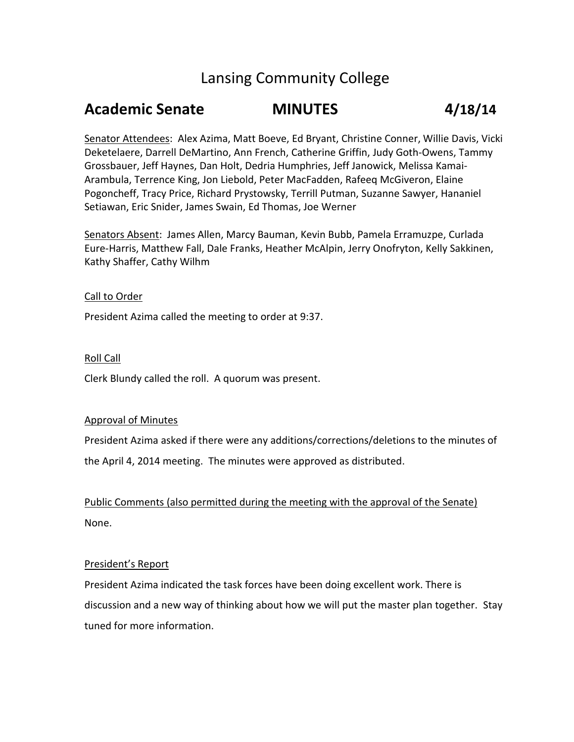# Lansing Community College

# Academic Senate MINUTES 4/18/14

Senator Attendees: Alex Azima, Matt Boeve, Ed Bryant, Christine Conner, Willie Davis, Vicki Deketelaere, Darrell DeMartino, Ann French, Catherine Griffin, Judy Goth-Owens, Tammy Grossbauer, Jeff Haynes, Dan Holt, Dedria Humphries, Jeff Janowick, Melissa Kamai-Arambula, Terrence King, Jon Liebold, Peter MacFadden, Rafeeq McGiveron, Elaine Pogoncheff, Tracy Price, Richard Prystowsky, Terrill Putman, Suzanne Sawyer, Hananiel Setiawan, Eric Snider, James Swain, Ed Thomas, Joe Werner

Senators Absent: James Allen, Marcy Bauman, Kevin Bubb, Pamela Erramuzpe, Curlada Eure-Harris, Matthew Fall, Dale Franks, Heather McAlpin, Jerry Onofryton, Kelly Sakkinen, Kathy Shaffer, Cathy Wilhm

## Call to Order

President Azima called the meeting to order at 9:37.

## Roll Call

Clerk Blundy called the roll. A quorum was present.

#### Approval of Minutes

President Azima asked if there were any additions/corrections/deletions to the minutes of the April 4, 2014 meeting. The minutes were approved as distributed.

Public Comments (also permitted during the meeting with the approval of the Senate) None.

#### President's Report

President Azima indicated the task forces have been doing excellent work. There is discussion and a new way of thinking about how we will put the master plan together. Stay tuned for more information.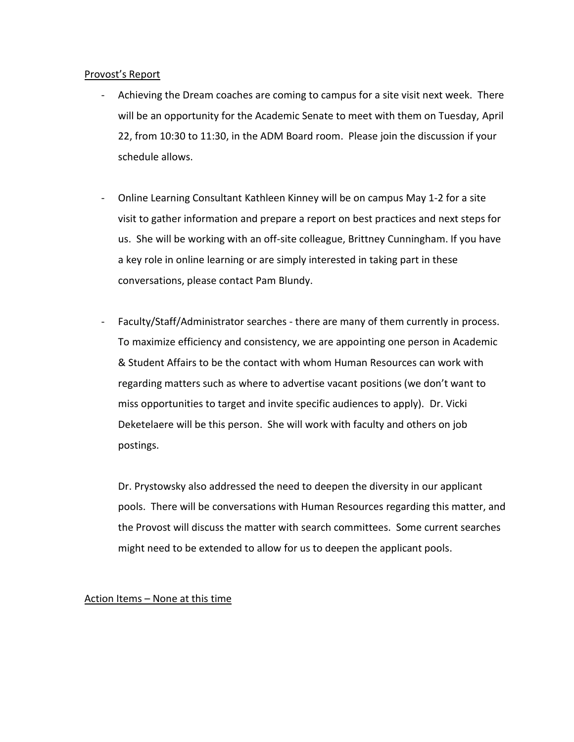#### Provost's Report

- Achieving the Dream coaches are coming to campus for a site visit next week. There will be an opportunity for the Academic Senate to meet with them on Tuesday, April 22, from 10:30 to 11:30, in the ADM Board room. Please join the discussion if your schedule allows.
- Online Learning Consultant Kathleen Kinney will be on campus May 1-2 for a site visit to gather information and prepare a report on best practices and next steps for us. She will be working with an off-site colleague, Brittney Cunningham. If you have a key role in online learning or are simply interested in taking part in these conversations, please contact Pam Blundy.
- Faculty/Staff/Administrator searches there are many of them currently in process. To maximize efficiency and consistency, we are appointing one person in Academic & Student Affairs to be the contact with whom Human Resources can work with regarding matters such as where to advertise vacant positions (we don't want to miss opportunities to target and invite specific audiences to apply). Dr. Vicki Deketelaere will be this person. She will work with faculty and others on job postings.

Dr. Prystowsky also addressed the need to deepen the diversity in our applicant pools. There will be conversations with Human Resources regarding this matter, and the Provost will discuss the matter with search committees. Some current searches might need to be extended to allow for us to deepen the applicant pools.

# Action Items – None at this time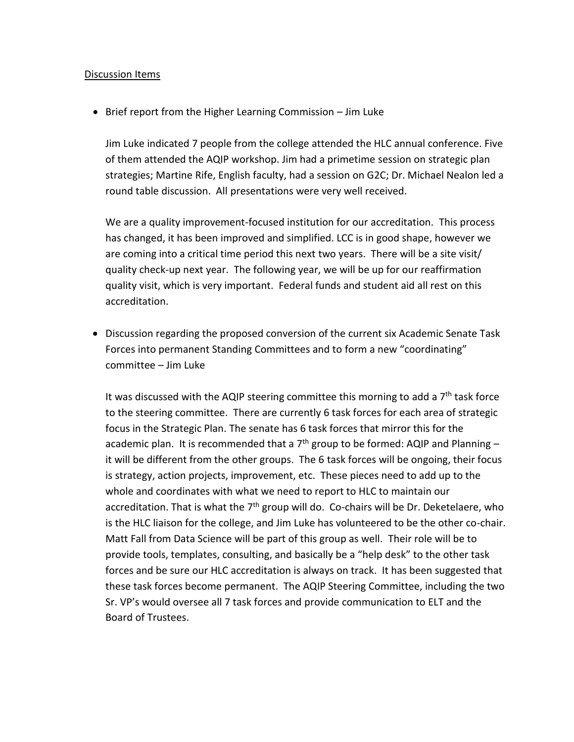## Discussion Items

• Brief report from the Higher Learning Commission – Jim Luke

Jim Luke indicated 7 people from the college attended the HLC annual conference. Five of them attended the AQIP workshop. Jim had a primetime session on strategic plan strategies; Martine Rife, English faculty, had a session on G2C; Dr. Michael Nealon led a round table discussion. All presentations were very well received.

We are a quality improvement-focused institution for our accreditation. This process has changed, it has been improved and simplified. LCC is in good shape, however we are coming into a critical time period this next two years. There will be a site visit/ quality check-up next year. The following year, we will be up for our reaffirmation quality visit, which is very important. Federal funds and student aid all rest on this accreditation.

• Discussion regarding the proposed conversion of the current six Academic Senate Task Forces into permanent Standing Committees and to form a new "coordinating" committee – Jim Luke

It was discussed with the AQIP steering committee this morning to add a  $7<sup>th</sup>$  task force to the steering committee. There are currently 6 task forces for each area of strategic focus in the Strategic Plan. The senate has 6 task forces that mirror this for the academic plan. It is recommended that a  $7<sup>th</sup>$  group to be formed: AQIP and Planning – it will be different from the other groups. The 6 task forces will be ongoing, their focus is strategy, action projects, improvement, etc. These pieces need to add up to the whole and coordinates with what we need to report to HLC to maintain our accreditation. That is what the  $7<sup>th</sup>$  group will do. Co-chairs will be Dr. Deketelaere, who is the HLC liaison for the college, and Jim Luke has volunteered to be the other co-chair. Matt Fall from Data Science will be part of this group as well. Their role will be to provide tools, templates, consulting, and basically be a "help desk" to the other task forces and be sure our HLC accreditation is always on track. It has been suggested that these task forces become permanent. The AQIP Steering Committee, including the two Sr. VP's would oversee all 7 task forces and provide communication to ELT and the Board of Trustees.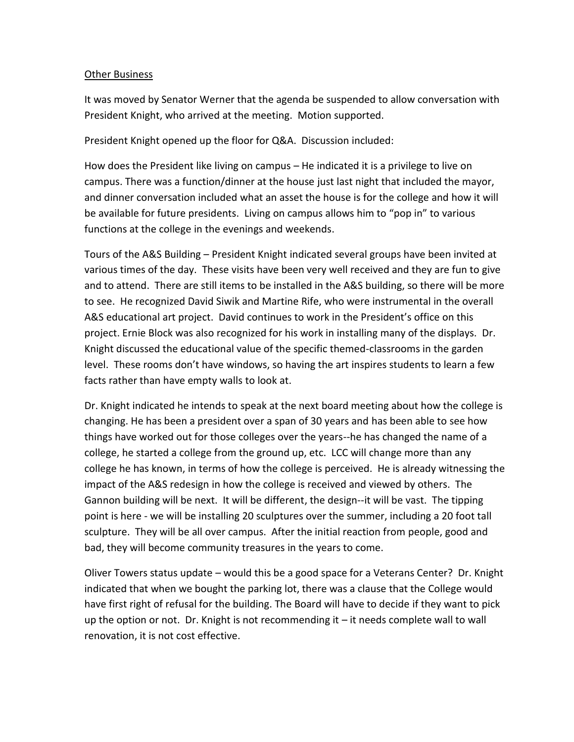# Other Business

It was moved by Senator Werner that the agenda be suspended to allow conversation with President Knight, who arrived at the meeting. Motion supported.

# President Knight opened up the floor for Q&A. Discussion included:

How does the President like living on campus – He indicated it is a privilege to live on campus. There was a function/dinner at the house just last night that included the mayor, and dinner conversation included what an asset the house is for the college and how it will be available for future presidents. Living on campus allows him to "pop in" to various functions at the college in the evenings and weekends.

Tours of the A&S Building – President Knight indicated several groups have been invited at various times of the day. These visits have been very well received and they are fun to give and to attend. There are still items to be installed in the A&S building, so there will be more to see. He recognized David Siwik and Martine Rife, who were instrumental in the overall A&S educational art project. David continues to work in the President's office on this project. Ernie Block was also recognized for his work in installing many of the displays. Dr. Knight discussed the educational value of the specific themed-classrooms in the garden level. These rooms don't have windows, so having the art inspires students to learn a few facts rather than have empty walls to look at.

Dr. Knight indicated he intends to speak at the next board meeting about how the college is changing. He has been a president over a span of 30 years and has been able to see how things have worked out for those colleges over the years--he has changed the name of a college, he started a college from the ground up, etc. LCC will change more than any college he has known, in terms of how the college is perceived. He is already witnessing the impact of the A&S redesign in how the college is received and viewed by others. The Gannon building will be next. It will be different, the design--it will be vast. The tipping point is here - we will be installing 20 sculptures over the summer, including a 20 foot tall sculpture. They will be all over campus. After the initial reaction from people, good and bad, they will become community treasures in the years to come.

Oliver Towers status update – would this be a good space for a Veterans Center? Dr. Knight indicated that when we bought the parking lot, there was a clause that the College would have first right of refusal for the building. The Board will have to decide if they want to pick up the option or not. Dr. Knight is not recommending it  $-$  it needs complete wall to wall renovation, it is not cost effective.